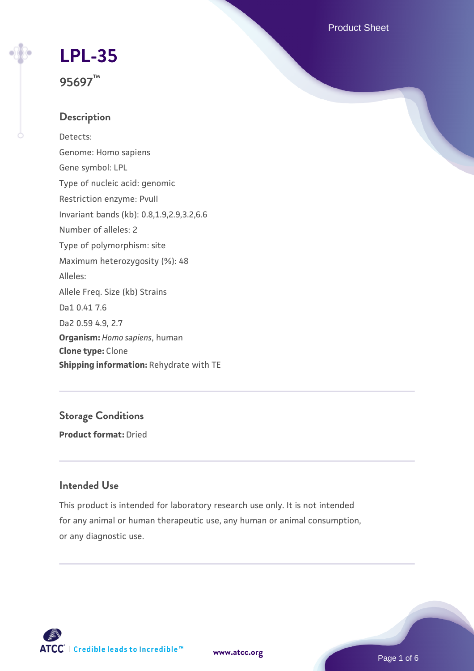Product Sheet

### **[LPL-35](https://www.atcc.org/products/95697)**

**95697™**

### **Description**

Detects: Genome: Homo sapiens Gene symbol: LPL Type of nucleic acid: genomic Restriction enzyme: PvuII Invariant bands (kb): 0.8,1.9,2.9,3.2,6.6 Number of alleles: 2 Type of polymorphism: site Maximum heterozygosity (%): 48 Alleles: Allele Freq. Size (kb) Strains Da1 0.41 7.6 Da2 0.59 4.9, 2.7 **Organism:** *Homo sapiens*, human **Clone type:** Clone **Shipping information:** Rehydrate with TE

**Storage Conditions Product format:** Dried

### **Intended Use**

This product is intended for laboratory research use only. It is not intended for any animal or human therapeutic use, any human or animal consumption, or any diagnostic use.

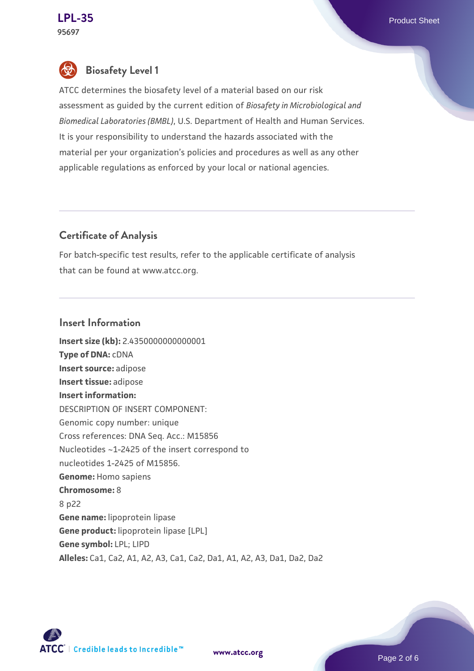### **Biosafety Level 1**

ATCC determines the biosafety level of a material based on our risk assessment as guided by the current edition of *Biosafety in Microbiological and Biomedical Laboratories (BMBL)*, U.S. Department of Health and Human Services. It is your responsibility to understand the hazards associated with the material per your organization's policies and procedures as well as any other applicable regulations as enforced by your local or national agencies.

### **Certificate of Analysis**

For batch-specific test results, refer to the applicable certificate of analysis that can be found at www.atcc.org.

#### **Insert Information**

**Insert size (kb):** 2.4350000000000001 **Type of DNA:** cDNA **Insert source:** adipose **Insert tissue:** adipose **Insert information:** DESCRIPTION OF INSERT COMPONENT: Genomic copy number: unique Cross references: DNA Seq. Acc.: M15856 Nucleotides ~1-2425 of the insert correspond to nucleotides 1-2425 of M15856. **Genome:** Homo sapiens **Chromosome:** 8 8 p22 **Gene name:** lipoprotein lipase **Gene product:** lipoprotein lipase [LPL] **Gene symbol:** LPL; LIPD **Alleles:** Ca1, Ca2, A1, A2, A3, Ca1, Ca2, Da1, A1, A2, A3, Da1, Da2, Da2



**[www.atcc.org](http://www.atcc.org)**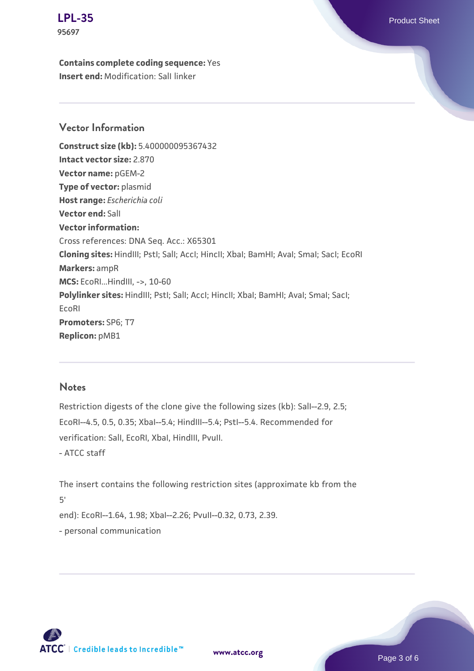### **[LPL-35](https://www.atcc.org/products/95697)** Product Sheet

**95697**

**Contains complete coding sequence:** Yes **Insert end:** Modification: SalI linker

### **Vector Information**

**Construct size (kb):** 5.400000095367432 **Intact vector size:** 2.870 **Vector name:** pGEM-2 **Type of vector:** plasmid **Host range:** *Escherichia coli* **Vector end:** SalI **Vector information:** Cross references: DNA Seq. Acc.: X65301 **Cloning sites:** HindIII; PstI; SalI; AccI; HincII; XbaI; BamHI; AvaI; SmaI; SacI; EcoRI **Markers:** ampR **MCS:** EcoRI...HindIII, ->, 10-60 Polylinker sites: HindIII; PstI; SalI; AccI; HincII; XbaI; BamHI; AvaI; SmaI; SacI; EcoRI **Promoters:** SP6; T7 **Replicon:** pMB1

#### **Notes**

Restriction digests of the clone give the following sizes (kb): SalI--2.9, 2.5; EcoRI--4.5, 0.5, 0.35; XbaI--5.4; HindIII--5.4; PstI--5.4. Recommended for verification: SalI, EcoRI, XbaI, HindIII, PvuII. - ATCC staff

The insert contains the following restriction sites (approximate kb from the 5' end): EcoRI--1.64, 1.98; XbaI--2.26; PvuII--0.32, 0.73, 2.39. - personal communication



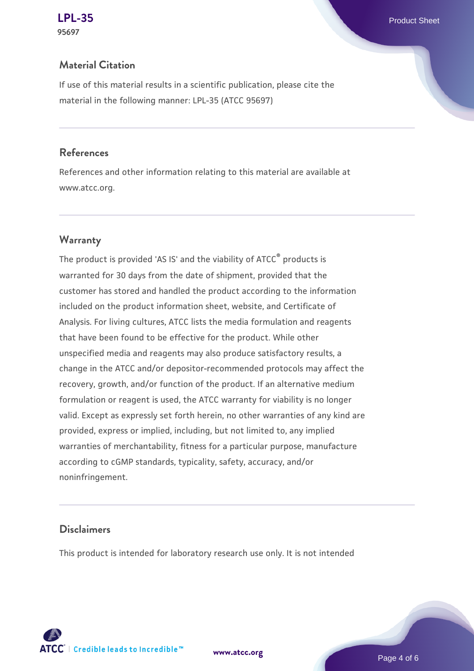# **95697**

### **Material Citation**

If use of this material results in a scientific publication, please cite the material in the following manner: LPL-35 (ATCC 95697)

### **References**

References and other information relating to this material are available at www.atcc.org.

### **Warranty**

The product is provided 'AS IS' and the viability of ATCC® products is warranted for 30 days from the date of shipment, provided that the customer has stored and handled the product according to the information included on the product information sheet, website, and Certificate of Analysis. For living cultures, ATCC lists the media formulation and reagents that have been found to be effective for the product. While other unspecified media and reagents may also produce satisfactory results, a change in the ATCC and/or depositor-recommended protocols may affect the recovery, growth, and/or function of the product. If an alternative medium formulation or reagent is used, the ATCC warranty for viability is no longer valid. Except as expressly set forth herein, no other warranties of any kind are provided, express or implied, including, but not limited to, any implied warranties of merchantability, fitness for a particular purpose, manufacture according to cGMP standards, typicality, safety, accuracy, and/or noninfringement.

### **Disclaimers**

This product is intended for laboratory research use only. It is not intended



**[www.atcc.org](http://www.atcc.org)**

Page 4 of 6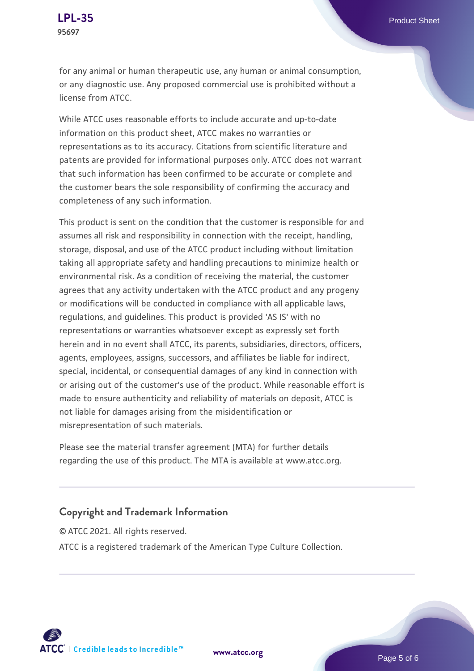for any animal or human therapeutic use, any human or animal consumption, or any diagnostic use. Any proposed commercial use is prohibited without a license from ATCC.

While ATCC uses reasonable efforts to include accurate and up-to-date information on this product sheet, ATCC makes no warranties or representations as to its accuracy. Citations from scientific literature and patents are provided for informational purposes only. ATCC does not warrant that such information has been confirmed to be accurate or complete and the customer bears the sole responsibility of confirming the accuracy and completeness of any such information.

This product is sent on the condition that the customer is responsible for and assumes all risk and responsibility in connection with the receipt, handling, storage, disposal, and use of the ATCC product including without limitation taking all appropriate safety and handling precautions to minimize health or environmental risk. As a condition of receiving the material, the customer agrees that any activity undertaken with the ATCC product and any progeny or modifications will be conducted in compliance with all applicable laws, regulations, and guidelines. This product is provided 'AS IS' with no representations or warranties whatsoever except as expressly set forth herein and in no event shall ATCC, its parents, subsidiaries, directors, officers, agents, employees, assigns, successors, and affiliates be liable for indirect, special, incidental, or consequential damages of any kind in connection with or arising out of the customer's use of the product. While reasonable effort is made to ensure authenticity and reliability of materials on deposit, ATCC is not liable for damages arising from the misidentification or misrepresentation of such materials.

Please see the material transfer agreement (MTA) for further details regarding the use of this product. The MTA is available at www.atcc.org.

### **Copyright and Trademark Information**

© ATCC 2021. All rights reserved. ATCC is a registered trademark of the American Type Culture Collection.